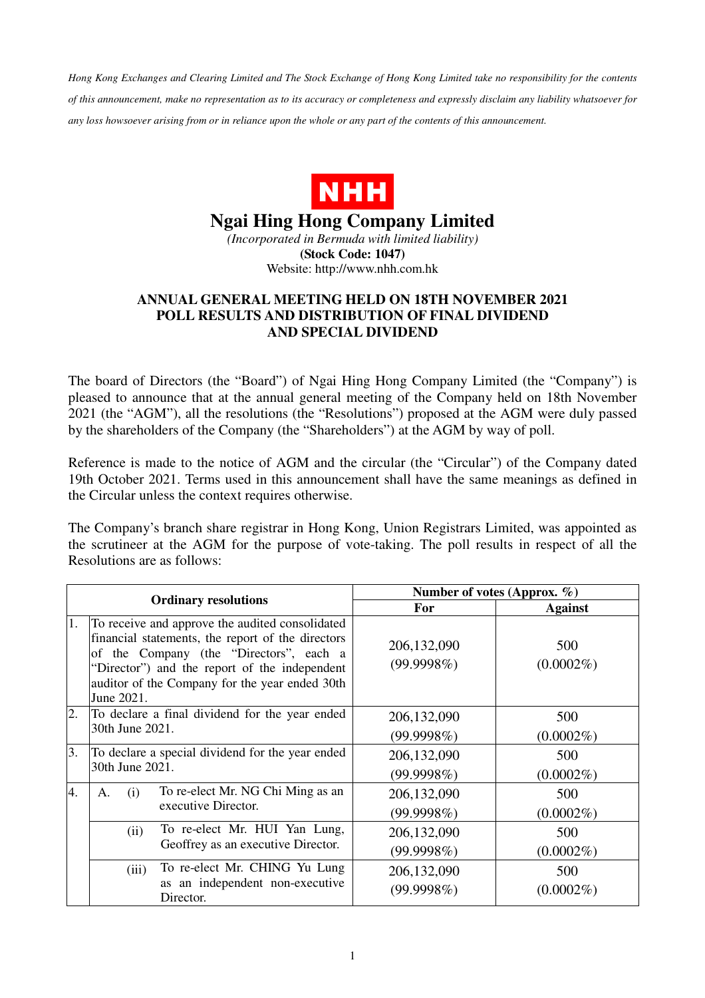*Hong Kong Exchanges and Clearing Limited and The Stock Exchange of Hong Kong Limited take no responsibility for the contents of this announcement, make no representation as to its accuracy or completeness and expressly disclaim any liability whatsoever for any loss howsoever arising from or in reliance upon the whole or any part of the contents of this announcement.* 



## **Ngai Hing Hong Company Limited**

*(Incorporated in Bermuda with limited liability)*  **(Stock Code: 1047)**  Website: http://www.nhh.com.hk

## **ANNUAL GENERAL MEETING HELD ON 18TH NOVEMBER 2021 POLL RESULTS AND DISTRIBUTION OF FINAL DIVIDEND AND SPECIAL DIVIDEND**

The board of Directors (the "Board") of Ngai Hing Hong Company Limited (the "Company") is pleased to announce that at the annual general meeting of the Company held on 18th November 2021 (the "AGM"), all the resolutions (the "Resolutions") proposed at the AGM were duly passed by the shareholders of the Company (the "Shareholders") at the AGM by way of poll.

Reference is made to the notice of AGM and the circular (the "Circular") of the Company dated 19th October 2021. Terms used in this announcement shall have the same meanings as defined in the Circular unless the context requires otherwise.

The Company's branch share registrar in Hong Kong, Union Registrars Limited, was appointed as the scrutineer at the AGM for the purpose of vote-taking. The poll results in respect of all the Resolutions are as follows:

| <b>Ordinary resolutions</b> |                                                                                                                                                                                                                                                                  | Number of votes (Approx. $\%$ ) |                     |
|-----------------------------|------------------------------------------------------------------------------------------------------------------------------------------------------------------------------------------------------------------------------------------------------------------|---------------------------------|---------------------|
|                             |                                                                                                                                                                                                                                                                  | <b>For</b>                      | <b>Against</b>      |
| 1.                          | To receive and approve the audited consolidated<br>financial statements, the report of the directors<br>of the Company (the "Directors", each a<br>"Director") and the report of the independent<br>auditor of the Company for the year ended 30th<br>June 2021. | 206,132,090<br>(99.9998%)       | 500<br>$(0.0002\%)$ |
| 2.                          | To declare a final dividend for the year ended<br>30th June 2021.                                                                                                                                                                                                | 206, 132, 090<br>(99.9998%)     | 500<br>$(0.0002\%)$ |
| 3.                          | To declare a special dividend for the year ended<br>30th June 2021.                                                                                                                                                                                              | 206, 132, 090<br>(99.9998%)     | 500<br>$(0.0002\%)$ |
| 4.                          | To re-elect Mr. NG Chi Ming as an<br>(i)<br>A.<br>executive Director.                                                                                                                                                                                            | 206, 132, 090<br>(99.9998%)     | 500<br>$(0.0002\%)$ |
|                             | To re-elect Mr. HUI Yan Lung,<br>(ii)<br>Geoffrey as an executive Director.                                                                                                                                                                                      | 206, 132, 090<br>(99.9998%)     | 500<br>$(0.0002\%)$ |
|                             | To re-elect Mr. CHING Yu Lung<br>(iii)<br>as an independent non-executive<br>Director.                                                                                                                                                                           | 206,132,090<br>(99.9998%)       | 500<br>$(0.0002\%)$ |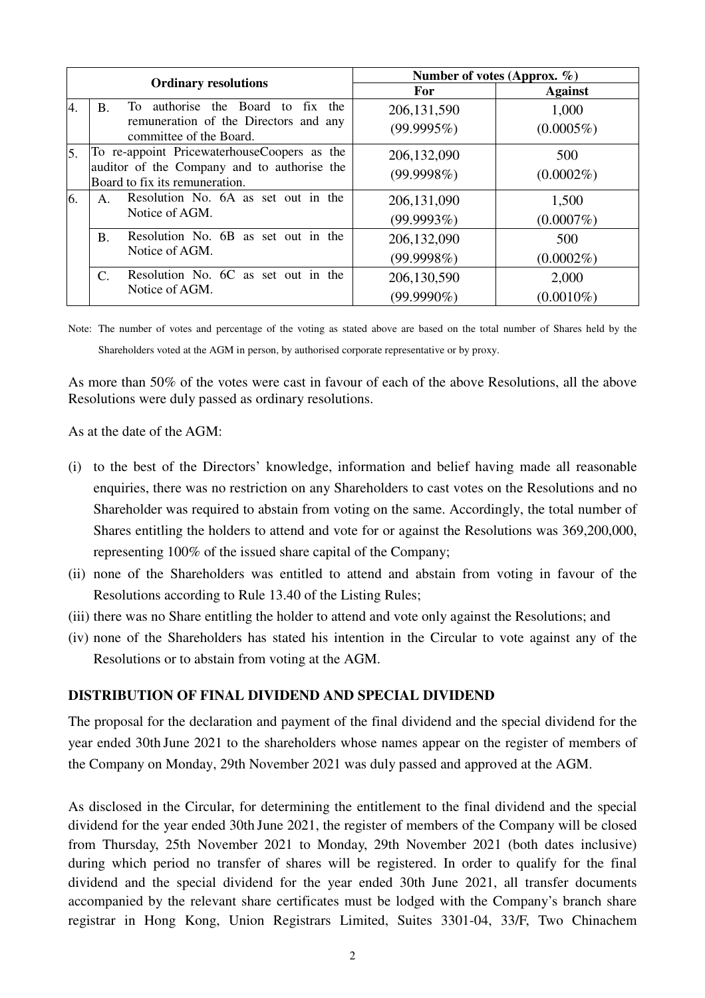|    |                                                                                                                              | Number of votes (Approx. $\%$ ) |                       |
|----|------------------------------------------------------------------------------------------------------------------------------|---------------------------------|-----------------------|
|    | <b>Ordinary resolutions</b>                                                                                                  | <b>For</b>                      | <b>Against</b>        |
| 4. | To authorise the Board to fix the<br><b>B.</b><br>remuneration of the Directors and any<br>committee of the Board.           | 206, 131, 590<br>(99.9995%)     | 1,000<br>$(0.0005\%)$ |
| 5. | To re-appoint PricewaterhouseCoopers as the<br>auditor of the Company and to authorise the<br>Board to fix its remuneration. | 206, 132, 090<br>(99.9998%)     | 500<br>$(0.0002\%)$   |
| 6. | Resolution No. 6A as set out in the<br>Notice of AGM.                                                                        | 206, 131, 090<br>(99.9993%)     | 1,500<br>$(0.0007\%)$ |
|    | Resolution No. 6B as set out in the<br><b>B.</b><br>Notice of AGM.                                                           | 206,132,090<br>(99.9998%)       | 500<br>$(0.0002\%)$   |
|    | Resolution No. 6C as set out in the<br>C.<br>Notice of AGM.                                                                  | 206,130,590<br>$(99.9990\%)$    | 2,000<br>$(0.0010\%)$ |

Note: The number of votes and percentage of the voting as stated above are based on the total number of Shares held by the Shareholders voted at the AGM in person, by authorised corporate representative or by proxy.

As more than 50% of the votes were cast in favour of each of the above Resolutions, all the above Resolutions were duly passed as ordinary resolutions.

As at the date of the AGM:

- (i) to the best of the Directors' knowledge, information and belief having made all reasonable enquiries, there was no restriction on any Shareholders to cast votes on the Resolutions and no Shareholder was required to abstain from voting on the same. Accordingly, the total number of Shares entitling the holders to attend and vote for or against the Resolutions was 369,200,000, representing 100% of the issued share capital of the Company;
- (ii) none of the Shareholders was entitled to attend and abstain from voting in favour of the Resolutions according to Rule 13.40 of the Listing Rules;
- (iii) there was no Share entitling the holder to attend and vote only against the Resolutions; and
- (iv) none of the Shareholders has stated his intention in the Circular to vote against any of the Resolutions or to abstain from voting at the AGM.

## **DISTRIBUTION OF FINAL DIVIDEND AND SPECIAL DIVIDEND**

The proposal for the declaration and payment of the final dividend and the special dividend for the year ended 30th June 2021 to the shareholders whose names appear on the register of members of the Company on Monday, 29th November 2021 was duly passed and approved at the AGM.

As disclosed in the Circular, for determining the entitlement to the final dividend and the special dividend for the year ended 30th June 2021, the register of members of the Company will be closed from Thursday, 25th November 2021 to Monday, 29th November 2021 (both dates inclusive) during which period no transfer of shares will be registered. In order to qualify for the final dividend and the special dividend for the year ended 30th June 2021, all transfer documents accompanied by the relevant share certificates must be lodged with the Company's branch share registrar in Hong Kong, Union Registrars Limited, Suites 3301-04, 33/F, Two Chinachem